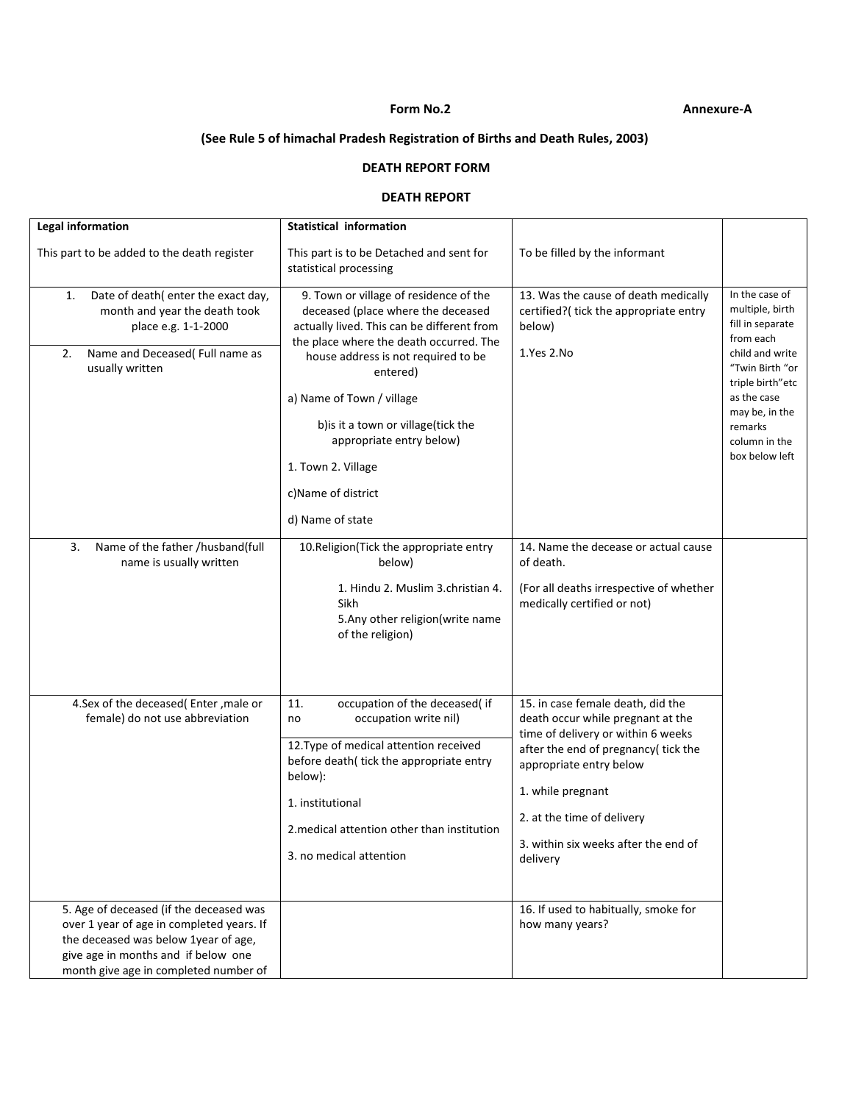## **Form No.2 Annexure‐A**

# **(See Rule 5 of himachal Pradesh Registration of Births and Death Rules, 2003)**

## **DEATH REPORT FORM**

### **DEATH REPORT**

| <b>Legal information</b>                                                                                                                                                                                     | <b>Statistical information</b>                                                                                                                                                                                                                                                                                                                                                           |                                                                                                                                                                                                                                                                                       |                                                                                                                                                                                                             |
|--------------------------------------------------------------------------------------------------------------------------------------------------------------------------------------------------------------|------------------------------------------------------------------------------------------------------------------------------------------------------------------------------------------------------------------------------------------------------------------------------------------------------------------------------------------------------------------------------------------|---------------------------------------------------------------------------------------------------------------------------------------------------------------------------------------------------------------------------------------------------------------------------------------|-------------------------------------------------------------------------------------------------------------------------------------------------------------------------------------------------------------|
| This part to be added to the death register                                                                                                                                                                  | This part is to be Detached and sent for<br>statistical processing                                                                                                                                                                                                                                                                                                                       | To be filled by the informant                                                                                                                                                                                                                                                         |                                                                                                                                                                                                             |
| Date of death(enter the exact day,<br>1.<br>month and year the death took<br>place e.g. 1-1-2000<br>Name and Deceased(Full name as<br>2.<br>usually written                                                  | 9. Town or village of residence of the<br>deceased (place where the deceased<br>actually lived. This can be different from<br>the place where the death occurred. The<br>house address is not required to be<br>entered)<br>a) Name of Town / village<br>b) is it a town or village(tick the<br>appropriate entry below)<br>1. Town 2. Village<br>c)Name of district<br>d) Name of state | 13. Was the cause of death medically<br>certified?(tick the appropriate entry<br>below)<br>1.Yes 2.No                                                                                                                                                                                 | In the case of<br>multiple, birth<br>fill in separate<br>from each<br>child and write<br>"Twin Birth "or<br>triple birth"etc<br>as the case<br>may be, in the<br>remarks<br>column in the<br>box below left |
| 3.<br>Name of the father /husband(full<br>name is usually written                                                                                                                                            | 10. Religion (Tick the appropriate entry<br>below)<br>1. Hindu 2. Muslim 3. christian 4.<br>Sikh<br>5.Any other religion(write name<br>of the religion)                                                                                                                                                                                                                                  | 14. Name the decease or actual cause<br>of death.<br>(For all deaths irrespective of whether<br>medically certified or not)                                                                                                                                                           |                                                                                                                                                                                                             |
| 4.Sex of the deceased(Enter, male or<br>female) do not use abbreviation                                                                                                                                      | occupation of the deceased(if<br>11.<br>occupation write nil)<br>no<br>12. Type of medical attention received<br>before death(tick the appropriate entry<br>below):<br>1. institutional<br>2. medical attention other than institution<br>3. no medical attention                                                                                                                        | 15. in case female death, did the<br>death occur while pregnant at the<br>time of delivery or within 6 weeks<br>after the end of pregnancy(tick the<br>appropriate entry below<br>1. while pregnant<br>2. at the time of delivery<br>3. within six weeks after the end of<br>delivery |                                                                                                                                                                                                             |
| 5. Age of deceased (if the deceased was<br>over 1 year of age in completed years. If<br>the deceased was below 1year of age,<br>give age in months and if below one<br>month give age in completed number of |                                                                                                                                                                                                                                                                                                                                                                                          | 16. If used to habitually, smoke for<br>how many years?                                                                                                                                                                                                                               |                                                                                                                                                                                                             |